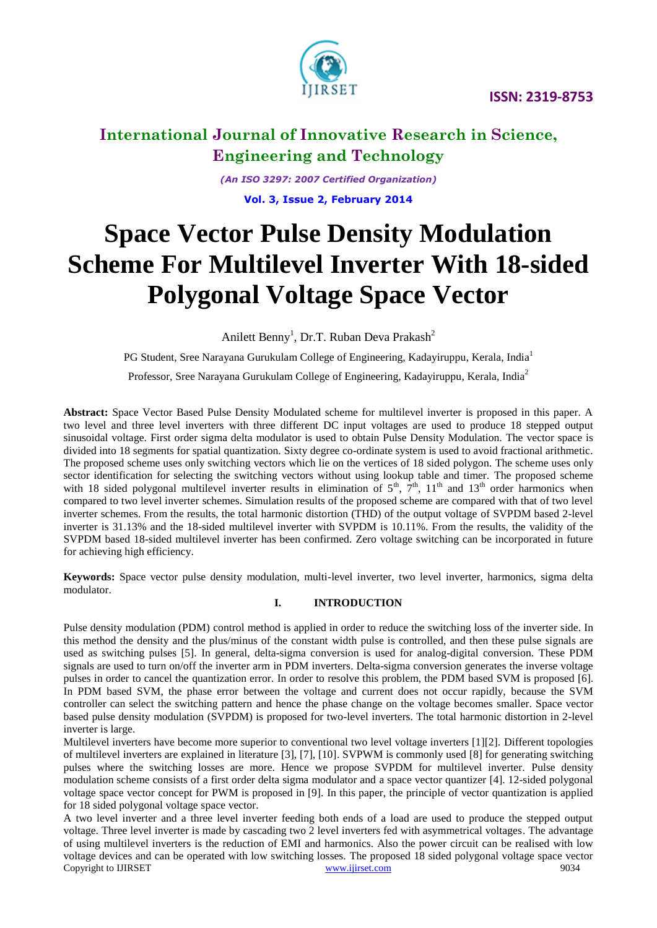

*(An ISO 3297: 2007 Certified Organization)* **Vol. 3, Issue 2, February <sup>2014</sup>** 

# **Space Vector Pulse Density Modulation Scheme For Multilevel Inverter With 18-sided Polygonal Voltage Space Vector**

Anilett Benny<sup>1</sup>, Dr.T. Ruban Deva Prakash<sup>2</sup>

PG Student, Sree Narayana Gurukulam College of Engineering, Kadayiruppu, Kerala, India<sup>1</sup> Professor, Sree Narayana Gurukulam College of Engineering, Kadayiruppu, Kerala, India<sup>2</sup>

**Abstract:** Space Vector Based Pulse Density Modulated scheme for multilevel inverter is proposed in this paper. A two level and three level inverters with three different DC input voltages are used to produce 18 stepped output sinusoidal voltage. First order sigma delta modulator is used to obtain Pulse Density Modulation. The vector space is divided into 18 segments for spatial quantization. Sixty degree co-ordinate system is used to avoid fractional arithmetic. The proposed scheme uses only switching vectors which lie on the vertices of 18 sided polygon. The scheme uses only sector identification for selecting the switching vectors without using lookup table and timer. The proposed scheme with 18 sided polygonal multilevel inverter results in elimination of  $5<sup>th</sup>$ ,  $7<sup>th</sup>$ ,  $11<sup>th</sup>$  and  $13<sup>th</sup>$  order harmonics when compared to two level inverter schemes. Simulation results of the proposed scheme are compared with that of two level inverter schemes. From the results, the total harmonic distortion (THD) of the output voltage of SVPDM based 2-level inverter is 31.13% and the 18-sided multilevel inverter with SVPDM is 10.11%. From the results, the validity of the SVPDM based 18-sided multilevel inverter has been confirmed. Zero voltage switching can be incorporated in future for achieving high efficiency.

**Keywords:** Space vector pulse density modulation, multi-level inverter, two level inverter, harmonics, sigma delta modulator.

#### **I. INTRODUCTION**

Pulse density modulation (PDM) control method is applied in order to reduce the switching loss of the inverter side. In this method the density and the plus/minus of the constant width pulse is controlled, and then these pulse signals are used as switching pulses [5]. In general, delta-sigma conversion is used for analog-digital conversion. These PDM signals are used to turn on/off the inverter arm in PDM inverters. Delta-sigma conversion generates the inverse voltage pulses in order to cancel the quantization error. In order to resolve this problem, the PDM based SVM is proposed [6]. In PDM based SVM, the phase error between the voltage and current does not occur rapidly, because the SVM controller can select the switching pattern and hence the phase change on the voltage becomes smaller. Space vector based pulse density modulation (SVPDM) is proposed for two-level inverters. The total harmonic distortion in 2-level inverter is large.

Multilevel inverters have become more superior to conventional two level voltage inverters [1][2]. Different topologies of multilevel inverters are explained in literature [3], [7], [10]. SVPWM is commonly used [8] for generating switching pulses where the switching losses are more. Hence we propose SVPDM for multilevel inverter. Pulse density modulation scheme consists of a first order delta sigma modulator and a space vector quantizer [4]. 12-sided polygonal voltage space vector concept for PWM is proposed in [9]. In this paper, the principle of vector quantization is applied for 18 sided polygonal voltage space vector.

Copyright to IJIRSET [www.ijirset.com](http://www.ijirset.com/) 9034 A two level inverter and a three level inverter feeding both ends of a load are used to produce the stepped output voltage. Three level inverter is made by cascading two 2 level inverters fed with asymmetrical voltages. The advantage of using multilevel inverters is the reduction of EMI and harmonics. Also the power circuit can be realised with low voltage devices and can be operated with low switching losses. The proposed 18 sided polygonal voltage space vector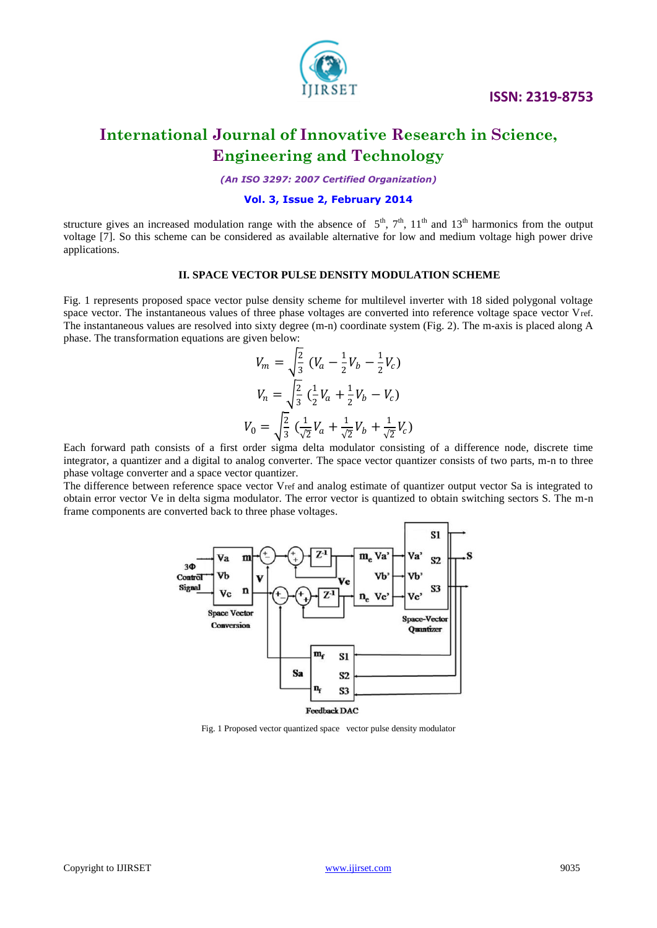

*(An ISO 3297: 2007 Certified Organization)*

#### **Vol. 3, Issue 2, February <sup>2014</sup>**

structure gives an increased modulation range with the absence of  $5<sup>th</sup>$ ,  $7<sup>th</sup>$ ,  $11<sup>th</sup>$  and  $13<sup>th</sup>$  harmonics from the output voltage [7]. So this scheme can be considered as available alternative for low and medium voltage high power drive applications.

#### **II. SPACE VECTOR PULSE DENSITY MODULATION SCHEME**

Fig. 1 represents proposed space vector pulse density scheme for multilevel inverter with 18 sided polygonal voltage space vector. The instantaneous values of three phase voltages are converted into reference voltage space vector Vref. The instantaneous values are resolved into sixty degree (m-n) coordinate system (Fig. 2). The m-axis is placed along A phase. The transformation equations are given below:

$$
V_m = \sqrt{\frac{2}{3}} (V_a - \frac{1}{2}V_b - \frac{1}{2}V_c)
$$
  

$$
V_n = \sqrt{\frac{2}{3}} (\frac{1}{2}V_a + \frac{1}{2}V_b - V_c)
$$
  

$$
V_0 = \sqrt{\frac{2}{3}} (\frac{1}{\sqrt{2}}V_a + \frac{1}{\sqrt{2}}V_b + \frac{1}{\sqrt{2}}V_c)
$$

Each forward path consists of a first order sigma delta modulator consisting of a difference node, discrete time integrator, a quantizer and a digital to analog converter. The space vector quantizer consists of two parts, m-n to three phase voltage converter and a space vector quantizer.

The difference between reference space vector Vref and analog estimate of quantizer output vector Sa is integrated to obtain error vector Ve in delta sigma modulator. The error vector is quantized to obtain switching sectors S. The m-n frame components are converted back to three phase voltages.



Fig. 1 Proposed vector quantized space vector pulse density modulator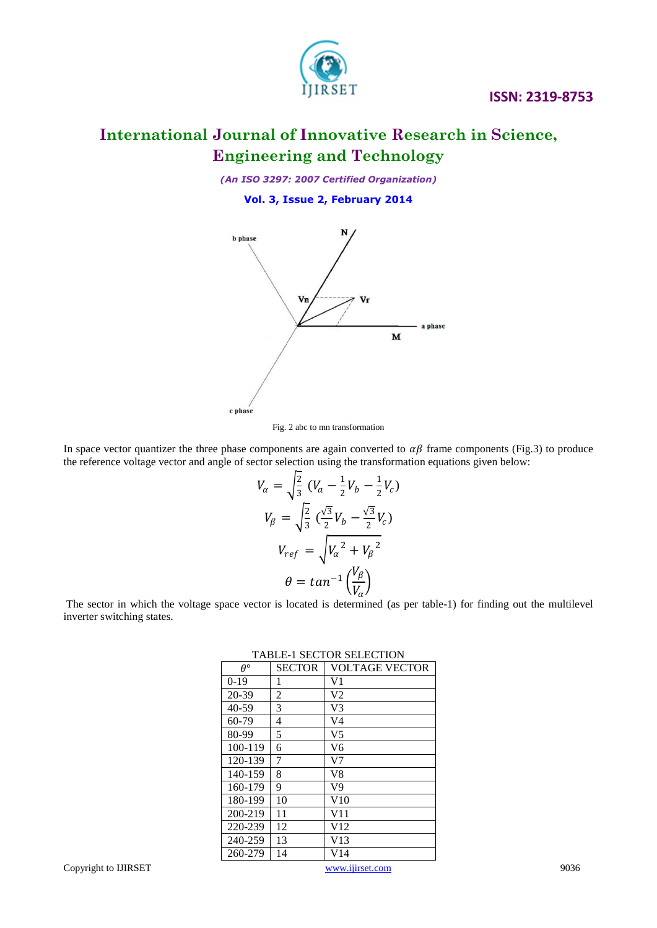

## **International Journal of Innovative Research in Science, Engineering and Technology**

*(An ISO 3297: 2007 Certified Organization)*

**Vol. 3, Issue 2, February <sup>2014</sup>** 



Fig. 2 abc to mn transformation

In space vector quantizer the three phase components are again converted to  $\alpha\beta$  frame components (Fig.3) to produce the reference voltage vector and angle of sector selection using the transformation equations given below:

$$
V_{\alpha} = \sqrt{\frac{2}{3}} (V_a - \frac{1}{2}V_b - \frac{1}{2}V_c)
$$
  

$$
V_{\beta} = \sqrt{\frac{2}{3}} (\frac{\sqrt{3}}{2}V_b - \frac{\sqrt{3}}{2}V_c)
$$
  

$$
V_{ref} = \sqrt{V_{\alpha}^2 + V_{\beta}^2}
$$
  

$$
\theta = \tan^{-1} (\frac{V_{\beta}}{V_{\alpha}})
$$

The sector in which the voltage space vector is located is determined (as per table-1) for finding out the multilevel inverter switching states.

| $\theta^{\circ}$ | <b>SECTOR</b>  | VOLTAGE VECTOR |
|------------------|----------------|----------------|
| $0-19$           | 1              | V1             |
| 20-39            | $\overline{2}$ | V2             |
| 40-59            | 3              | V3             |
| $60-79$          | 4              | V4             |
| 80-99            | 5              | V <sub>5</sub> |
| 100-119          | 6              | V6             |
| 120-139          | 7              | V7             |
| 140-159          | 8              | V8             |
| 160-179          | 9              | V9             |
| 180-199          | 10             | V10            |
| 200-219          | 11             | V11            |
| 220-239          | 12             | V12            |
| 240-259          | 13             | V13            |
| 260-279          | 14             | V14            |

TABLE-1 SECTOR SELECTION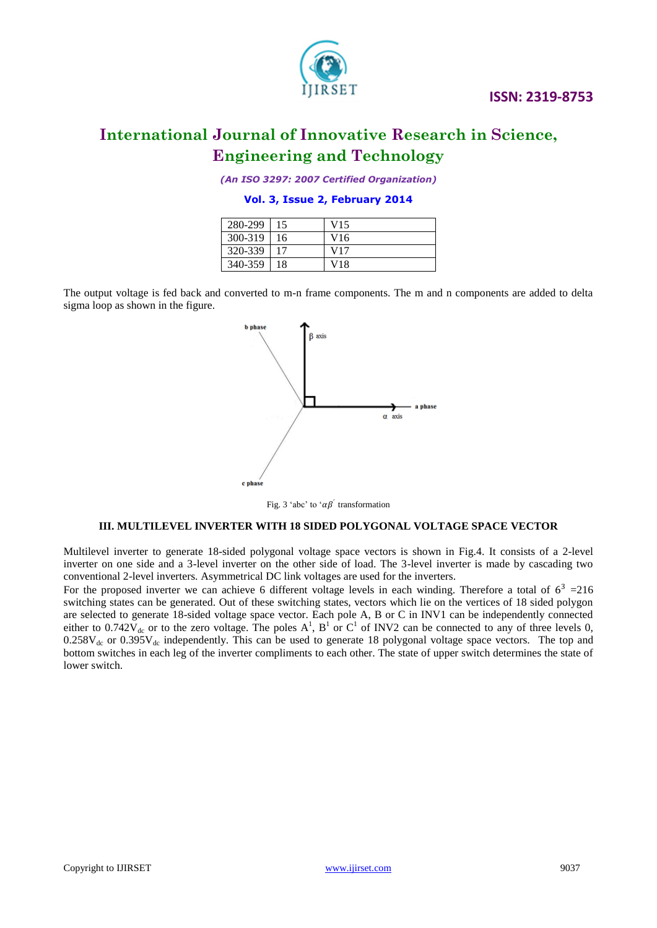

*(An ISO 3297: 2007 Certified Organization)*

**Vol. 3, Issue 2, February <sup>2014</sup>** 

| 280-299 | 15 | V15 |
|---------|----|-----|
| 300-319 | 16 | V16 |
| 320-339 | 17 | V17 |
| 340-359 | 18 | V18 |

The output voltage is fed back and converted to m-n frame components. The m and n components are added to delta sigma loop as shown in the figure.



Fig. 3 'abc' to ' $\alpha\beta$ ' transformation

#### **III. MULTILEVEL INVERTER WITH 18 SIDED POLYGONAL VOLTAGE SPACE VECTOR**

Multilevel inverter to generate 18-sided polygonal voltage space vectors is shown in Fig.4. It consists of a 2-level inverter on one side and a 3-level inverter on the other side of load. The 3-level inverter is made by cascading two conventional 2-level inverters. Asymmetrical DC link voltages are used for the inverters.

For the proposed inverter we can achieve 6 different voltage levels in each winding. Therefore a total of  $6^3$  = 216 switching states can be generated. Out of these switching states, vectors which lie on the vertices of 18 sided polygon are selected to generate 18-sided voltage space vector. Each pole A, B or C in INV1 can be independently connected either to 0.742 $\bar{V}_{dc}$  or to the zero voltage. The poles  $A^1$ ,  $B^1$  or  $C^1$  of INV2 can be connected to any of three levels 0,  $0.258V_{dc}$  or  $0.395V_{dc}$  independently. This can be used to generate 18 polygonal voltage space vectors. The top and bottom switches in each leg of the inverter compliments to each other. The state of upper switch determines the state of lower switch.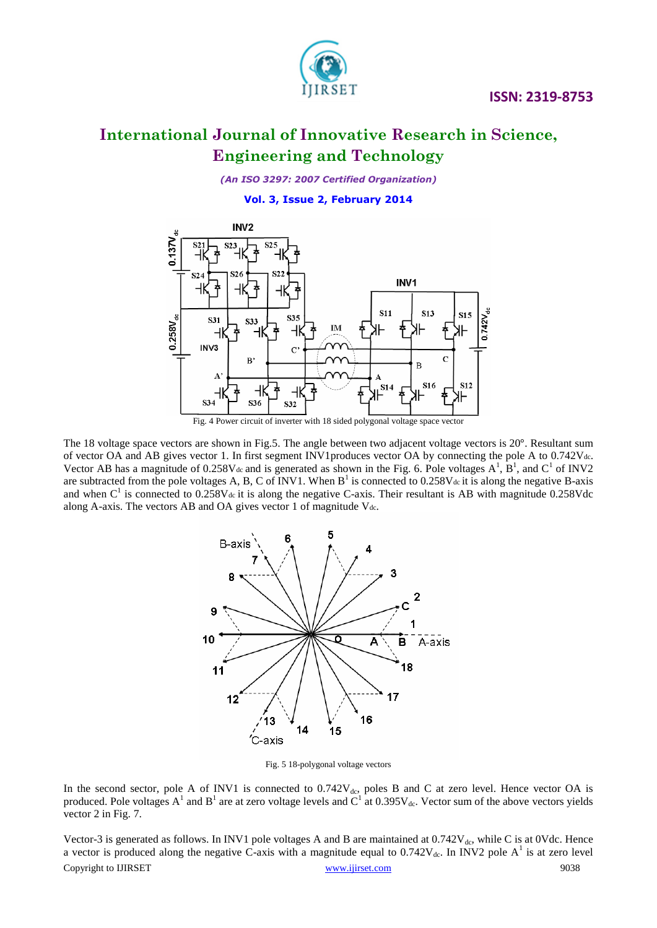

### **International Journal of Innovative Research in Science, Engineering and Technology**

*(An ISO 3297: 2007 Certified Organization)*

**Vol. 3, Issue 2, February <sup>2014</sup>** 



Fig. 4 Power circuit of inverter with 18 sided polygonal voltage space vector

The 18 voltage space vectors are shown in Fig.5. The angle between two adjacent voltage vectors is 20°. Resultant sum of vector OA and AB gives vector 1. In first segment INV1produces vector OA by connecting the pole A to 0.742Vdc. Vector AB has a magnitude of 0.258V<sub>dc</sub> and is generated as shown in the Fig. 6. Pole voltages  $A^1$ ,  $B^1$ , and  $C^1$  of INV2 are subtracted from the pole voltages A, B, C of INV1. When  $B^1$  is connected to 0.258V<sub>dc</sub> it is along the negative B-axis and when  $C<sup>1</sup>$  is connected to 0.258V<sub>dc</sub> it is along the negative C-axis. Their resultant is AB with magnitude 0.258Vdc along A-axis. The vectors AB and OA gives vector 1 of magnitude V<sub>dc</sub>.



Fig. 5 18-polygonal voltage vectors

In the second sector, pole A of INV1 is connected to  $0.742V_{dc}$ , poles B and C at zero level. Hence vector OA is produced. Pole voltages  $A^1$  and  $B^1$  are at zero voltage levels and  $C^1$  at 0.395V<sub>dc</sub>. Vector sum of the above vectors yields vector 2 in Fig. 7.

Copyright to IJIRSET [www.ijirset.com](http://www.ijirset.com/) 9038 Vector-3 is generated as follows. In INV1 pole voltages A and B are maintained at  $0.742V_{dc}$ , while C is at 0Vdc. Hence a vector is produced along the negative C-axis with a magnitude equal to  $0.742V_{dc}$ . In INV2 pole A<sup>1</sup> is at zero level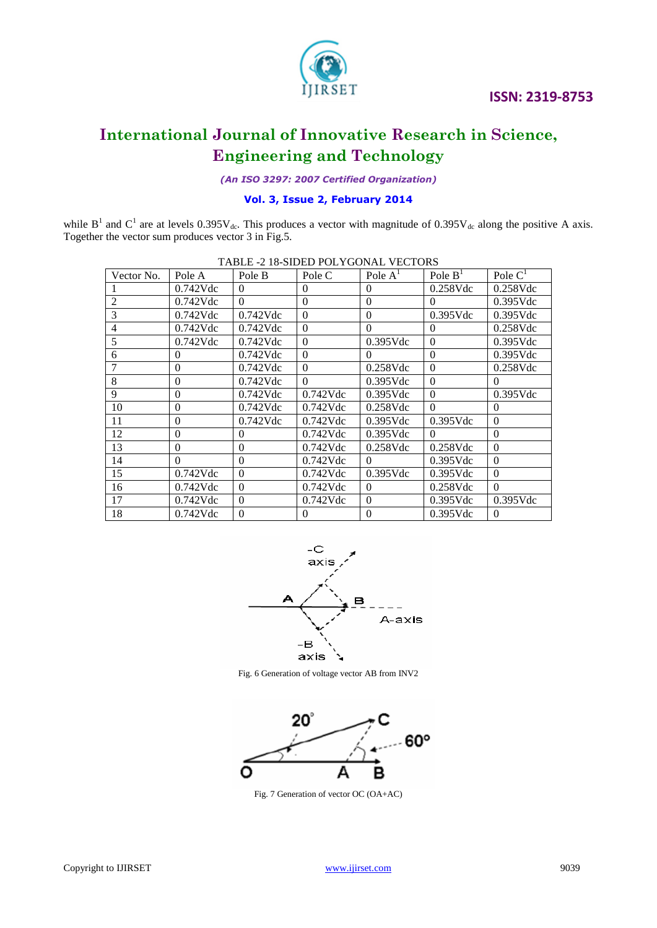

*(An ISO 3297: 2007 Certified Organization)*

#### **Vol. 3, Issue 2, February <sup>2014</sup>**

while  $B^1$  and  $C^1$  are at levels 0.395 $V_{dc}$ . This produces a vector with magnitude of 0.395 $V_{dc}$  along the positive A axis. Together the vector sum produces vector 3 in Fig.5.

| Vector No.     | Pole A         | Pole B      | Pole C      | Pole $AT$        | Pole $BT$   | Pole $C1$   |
|----------------|----------------|-------------|-------------|------------------|-------------|-------------|
|                | $0.742$ Vdc    | $\theta$    | $\theta$    | $\theta$         | $0.258$ Vdc | $0.258$ Vdc |
| $\overline{c}$ | $0.742$ Vdc    | $\Omega$    | $\Omega$    | $\mathbf{0}$     | $\Omega$    | $0.395$ Vdc |
| 3              | $0.742$ Vdc    | $0.742$ Vdc | $\theta$    | $\mathbf{0}$     | $0.395$ Vdc | $0.395$ Vdc |
| 4              | $0.742$ Vdc    | $0.742$ Vdc | $\theta$    | $\theta$         | $\Omega$    | $0.258$ Vdc |
| 5              | $0.742$ Vdc    | $0.742$ Vdc | $\theta$    | $0.395$ Vdc      | $\Omega$    | $0.395$ Vdc |
| 6              | $\theta$       | $0.742$ Vdc | $\theta$    | $\Omega$         | $\Omega$    | $0.395$ Vdc |
| 7              | $\Omega$       | $0.742$ Vdc | $\theta$    | $0.258$ Vdc      | $\Omega$    | $0.258$ Vdc |
| 8              | $\overline{0}$ | $0.742$ Vdc | $\Omega$    | $0.395$ Vdc      | $\Omega$    | $\Omega$    |
| 9              | $\theta$       | $0.742$ Vdc | $0.742$ Vdc | $0.395$ Vdc      | $\Omega$    | $0.395$ Vdc |
| 10             | $\overline{0}$ | $0.742$ Vdc | $0.742$ Vdc | $0.258$ Vdc      | $\Omega$    | $\Omega$    |
| 11             | $\theta$       | $0.742$ Vdc | $0.742$ Vdc | $0.395$ Vdc      | $0.395$ Vdc | $\Omega$    |
| 12             | $\mathbf{0}$   | $\Omega$    | $0.742$ Vdc | $0.395$ Vdc      | $\Omega$    | $\Omega$    |
| 13             | $\overline{0}$ | $\Omega$    | $0.742$ Vdc | $0.258$ Vdc      | $0.258$ Vdc | $\Omega$    |
| 14             | $\Omega$       | $\Omega$    | $0.742$ Vdc | $\Omega$         | $0.395$ Vdc | $\Omega$    |
| 15             | $0.742$ Vdc    | $\Omega$    | $0.742$ Vdc | $0.395$ Vdc      | $0.395$ Vdc | $\Omega$    |
| 16             | $0.742$ Vdc    | $\Omega$    | $0.742$ Vdc | $\theta$         | $0.258$ Vdc | $\Omega$    |
| 17             | $0.742$ Vdc    | $\Omega$    | $0.742$ Vdc | $\mathbf{0}$     | $0.395$ Vdc | $0.395$ Vdc |
| 18             | $0.742$ Vdc    | $\Omega$    | $\Omega$    | $\boldsymbol{0}$ | $0.395$ Vdc | $\Omega$    |

| TABLE -2 18-SIDED POLYGONAL VECTORS |  |
|-------------------------------------|--|
|                                     |  |



Fig. 6 Generation of voltage vector AB from INV2



Fig. 7 Generation of vector OC (OA+AC)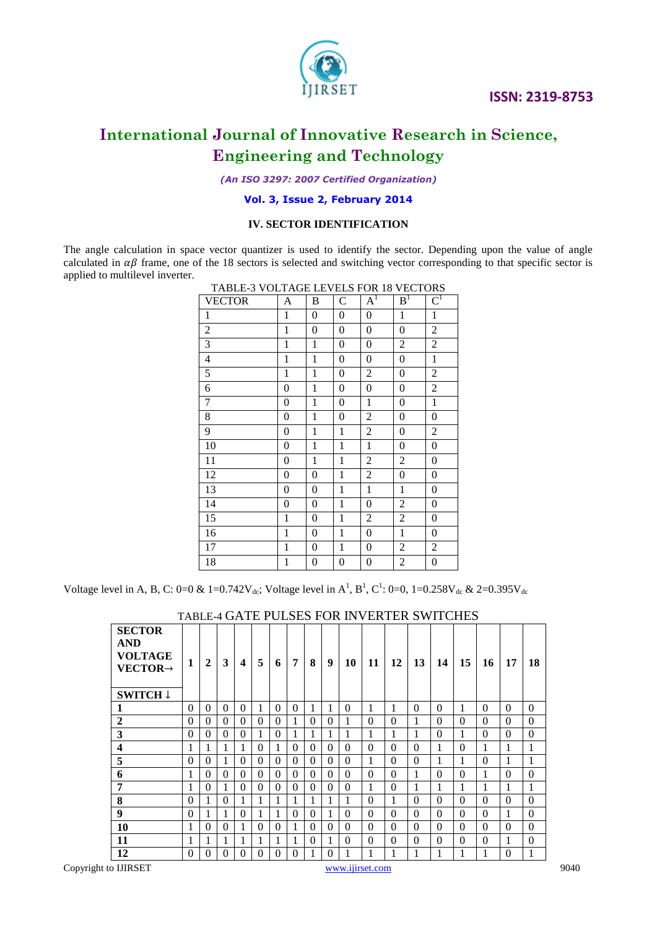

*(An ISO 3297: 2007 Certified Organization)*

#### **Vol. 3, Issue 2, February <sup>2014</sup>**

#### **IV. SECTOR IDENTIFICATION**

The angle calculation in space vector quantizer is used to identify the sector. Depending upon the value of angle calculated in  $\alpha\beta$  frame, one of the 18 sectors is selected and switching vector corresponding to that specific sector is applied to multilevel inverter.

|                | TABLE-3 VOLTAGE LEVELS FOR 18 VECTORS |                  |                  |                  |                  |                         |  |  |  |  |  |  |
|----------------|---------------------------------------|------------------|------------------|------------------|------------------|-------------------------|--|--|--|--|--|--|
| <b>VECTOR</b>  | A                                     | B                | $\mathsf{C}$     | $A^I$            | B <sup>1</sup>   | $\overline{\text{C}}^1$ |  |  |  |  |  |  |
| 1              | 1                                     | 0                | 0                | $\overline{0}$   | 1                | 1                       |  |  |  |  |  |  |
| $\overline{2}$ | 1                                     | $\overline{0}$   | $\boldsymbol{0}$ | $\boldsymbol{0}$ | $\overline{0}$   | $\overline{2}$          |  |  |  |  |  |  |
| 3              | $\mathbf{1}$                          | $\mathbf{1}$     | $\overline{0}$   | $\overline{0}$   | $\overline{2}$   | $\overline{2}$          |  |  |  |  |  |  |
| $\overline{4}$ | 1                                     | $\mathbf{1}$     | $\overline{0}$   | $\boldsymbol{0}$ | $\boldsymbol{0}$ | $\mathbf{1}$            |  |  |  |  |  |  |
| $\mathfrak s$  | 1                                     | 1                | $\boldsymbol{0}$ | $\overline{2}$   | $\overline{0}$   | $\overline{2}$          |  |  |  |  |  |  |
| 6              | 0                                     | $\mathbf{1}$     | $\boldsymbol{0}$ | $\boldsymbol{0}$ | 0                | $\overline{2}$          |  |  |  |  |  |  |
| 7              | 0                                     | 1                | $\boldsymbol{0}$ | 1                | 0                | $\mathbf{1}$            |  |  |  |  |  |  |
| 8              | $\overline{0}$                        | $\mathbf{1}$     | $\overline{0}$   | $\overline{2}$   | $\overline{0}$   | $\overline{0}$          |  |  |  |  |  |  |
| 9              | 0                                     | $\mathbf{1}$     | 1                | $\overline{2}$   | $\theta$         | $\overline{2}$          |  |  |  |  |  |  |
| 10             | 0                                     | 1                | $\mathbf{1}$     | $\mathbf{1}$     | $\overline{0}$   | $\overline{0}$          |  |  |  |  |  |  |
| 11             | 0                                     | $\mathbf{1}$     | $\mathbf{1}$     | $\overline{2}$   | $\overline{2}$   | $\overline{0}$          |  |  |  |  |  |  |
| 12             | $\overline{0}$                        | $\overline{0}$   | $\mathbf{1}$     | 2                | $\overline{0}$   | $\overline{0}$          |  |  |  |  |  |  |
| 13             | $\overline{0}$                        | $\overline{0}$   | $\mathbf{1}$     | $\mathbf{1}$     | 1                | $\overline{0}$          |  |  |  |  |  |  |
| 14             | $\overline{0}$                        | $\boldsymbol{0}$ | $\mathbf{1}$     | $\overline{0}$   | $\overline{2}$   | $\overline{0}$          |  |  |  |  |  |  |
| 15             | 1                                     | $\overline{0}$   | 1                | $\overline{2}$   | $\overline{2}$   | $\overline{0}$          |  |  |  |  |  |  |
| 16             | 1                                     | 0                | $\mathbf{1}$     | $\boldsymbol{0}$ | $\mathbf{1}$     | 0                       |  |  |  |  |  |  |
| 17             | 1                                     | 0                | $\mathbf{1}$     | 0                | 2                | 2                       |  |  |  |  |  |  |
| 18             | $\mathbf{1}$                          | 0                | $\boldsymbol{0}$ | 0                | $\overline{c}$   | $\boldsymbol{0}$        |  |  |  |  |  |  |

Voltage level in A, B, C: 0=0 & 1=0.742V<sub>dc</sub>; Voltage level in A<sup>1</sup>, B<sup>1</sup>, C<sup>1</sup>: 0=0, 1=0.258V<sub>dc</sub> & 2=0.395V<sub>dc</sub>

| <b>SECTOR</b><br><b>AND</b><br><b>VOLTAGE</b><br>$VECTOR \rightarrow$<br><b>SWITCH</b> ↓ | 1        | $\boldsymbol{2}$ | 3        | $\overline{\mathbf{4}}$ | 5        | 6        | 7        | 8        | 9        | 10       | 11           | 12       | 13           | 14       | 15       | 16           | 17       | 18           |
|------------------------------------------------------------------------------------------|----------|------------------|----------|-------------------------|----------|----------|----------|----------|----------|----------|--------------|----------|--------------|----------|----------|--------------|----------|--------------|
| 1                                                                                        | $\Omega$ | $\theta$         | $\Omega$ | $\Omega$                | 1        | $\theta$ | $\Omega$ | 1        | 1        | $\theta$ | 1            | 1        | $\Omega$     | $\theta$ | 1        | $\theta$     | $\theta$ | $\Omega$     |
| $\overline{2}$                                                                           | $\theta$ | $\Omega$         | $\Omega$ | $\Omega$                | $\Omega$ | $\Omega$ | 1        | $\Omega$ | $\Omega$ | 1        | $\theta$     | $\Omega$ | 1            | $\Omega$ | $\theta$ | $\Omega$     | $\theta$ | $\theta$     |
| 3                                                                                        | $\Omega$ | $\Omega$         | $\Omega$ | $\Omega$                | 1        | $\theta$ | 1        | 1        | 1        | 1        | 1            | 1        | 1            | $\Omega$ | 1        | $\Omega$     | $\theta$ | $\mathbf{0}$ |
| $\overline{\mathbf{4}}$                                                                  | 1        | 1                | 1        | 1                       | $\Omega$ | 1        | $\Omega$ | $\Omega$ | $\Omega$ | $\theta$ | $\theta$     | $\Omega$ | $\Omega$     | 1        | $\theta$ | $\mathbf{1}$ | 1        | 1            |
| 5                                                                                        | $\theta$ | $\Omega$         | 1        | $\Omega$                | $\theta$ | $\theta$ | $\theta$ | $\Omega$ | $\Omega$ | $\Omega$ | 1            | $\Omega$ | $\Omega$     | 1        | 1        | $\Omega$     | 1        | 1            |
| 6                                                                                        | 1        | $\Omega$         | $\Omega$ | $\Omega$                | $\Omega$ | $\Omega$ | $\Omega$ | $\Omega$ | $\Omega$ | $\Omega$ | $\theta$     | $\Omega$ | $\mathbf{1}$ | $\Omega$ | $\theta$ | 1            | $\theta$ | $\Omega$     |
| 7                                                                                        | 1        | $\theta$         | 1        | $\theta$                | $\Omega$ | $\theta$ | $\Omega$ | $\theta$ | $\Omega$ | $\theta$ | 1            | $\Omega$ | 1            | 1        | 1        | 1            | 1        | $\mathbf{1}$ |
| 8                                                                                        | $\theta$ | 1                | $\Omega$ | 1                       | 1        | 1        | 1        | 1        | 1        | 1        | $\theta$     | 1        | $\Omega$     | $\Omega$ | $\theta$ | $\Omega$     | $\theta$ | $\Omega$     |
| 9                                                                                        | $\Omega$ | 1                | 1        | $\Omega$                | 1        | 1        | $\Omega$ | $\Omega$ | 1        | $\Omega$ | $\theta$     | $\Omega$ | $\Omega$     | $\Omega$ | $\theta$ | $\Omega$     | 1        | $\Omega$     |
| 10                                                                                       | 1        | $\Omega$         | $\Omega$ | 1                       | $\Omega$ | $\Omega$ | 1        | $\Omega$ | $\Omega$ | $\Omega$ | $\theta$     | $\Omega$ | $\Omega$     | $\Omega$ | $\theta$ | $\Omega$     | $\theta$ | $\Omega$     |
| 11                                                                                       | 1        | 1                | 1        | 1                       | 1        | 1        | 1        | $\Omega$ | 1        | $\Omega$ | $\theta$     | $\Omega$ | $\Omega$     | $\Omega$ | $\theta$ | $\Omega$     | 1        | $\theta$     |
| 12                                                                                       | $\theta$ | $\theta$         | $\Omega$ | $\Omega$                | $\theta$ | $\theta$ | $\theta$ |          | $\theta$ |          | $\mathbf{1}$ | 1        | 1            | 1        | 1        | 1            | $\theta$ | 1            |

#### TABLE-4 GATE PULSES FOR INVERTER SWITCHES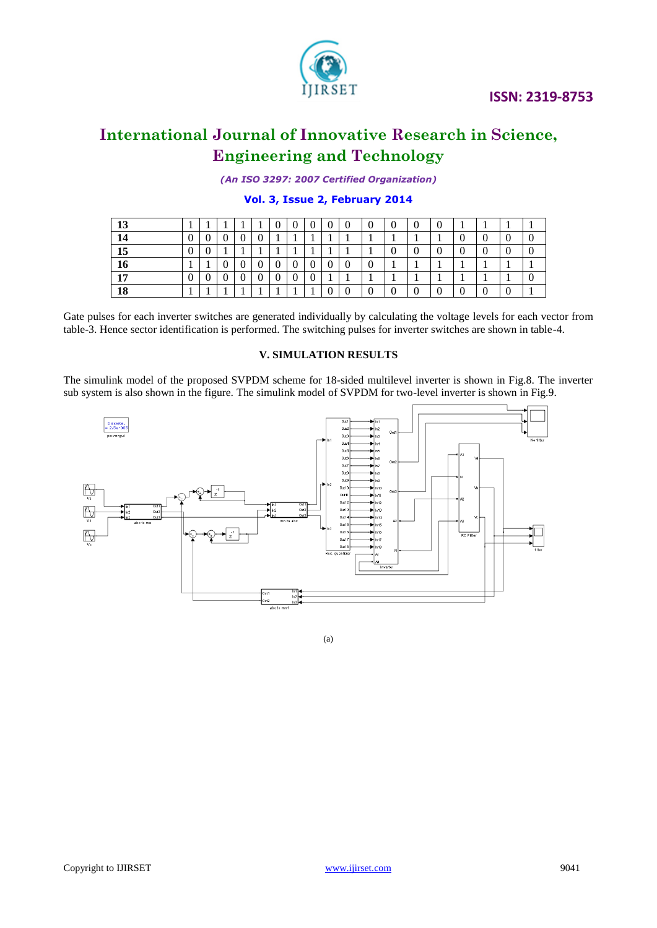*(An ISO 3297: 2007 Certified Organization)*

**Vol. 3, Issue 2, February <sup>2014</sup>** 

| 13 |  |  | 0 | ∩ | $\Omega$ |  |  |  |   |  |
|----|--|--|---|---|----------|--|--|--|---|--|
| 14 |  |  |   |   |          |  |  |  | υ |  |
| 15 |  |  |   |   |          |  |  |  |   |  |
| 16 |  |  |   | ∩ |          |  |  |  |   |  |
| 17 |  |  |   |   |          |  |  |  |   |  |
| 18 |  |  |   |   |          |  |  |  |   |  |

Gate pulses for each inverter switches are generated individually by calculating the voltage levels for each vector from table-3. Hence sector identification is performed. The switching pulses for inverter switches are shown in table-4.

#### **V. SIMULATION RESULTS**

The simulink model of the proposed SVPDM scheme for 18-sided multilevel inverter is shown in Fig.8. The inverter sub system is also shown in the figure. The simulink model of SVPDM for two-level inverter is shown in Fig.9.



(a)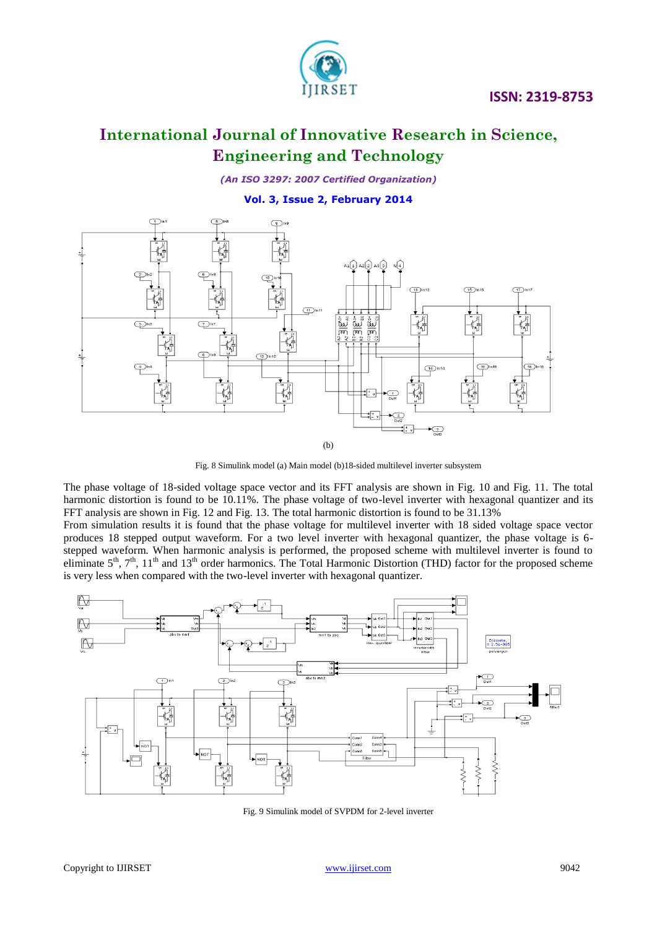

### **International Journal of Innovative Research in Science, Engineering and Technology**

*(An ISO 3297: 2007 Certified Organization)*

**Vol. 3, Issue 2, February <sup>2014</sup>** 



Fig. 8 Simulink model (a) Main model (b)18-sided multilevel inverter subsystem

The phase voltage of 18-sided voltage space vector and its FFT analysis are shown in Fig. 10 and Fig. 11. The total harmonic distortion is found to be 10.11%. The phase voltage of two-level inverter with hexagonal quantizer and its FFT analysis are shown in Fig. 12 and Fig. 13. The total harmonic distortion is found to be 31.13%

From simulation results it is found that the phase voltage for multilevel inverter with 18 sided voltage space vector produces 18 stepped output waveform. For a two level inverter with hexagonal quantizer, the phase voltage is 6 stepped waveform. When harmonic analysis is performed, the proposed scheme with multilevel inverter is found to eliminate  $5<sup>th</sup>$ ,  $7<sup>th</sup>$ ,  $11<sup>th</sup>$  and  $13<sup>th</sup>$  order harmonics. The Total Harmonic Distortion (THD) factor for the proposed scheme is very less when compared with the two-level inverter with hexagonal quantizer.



Fig. 9 Simulink model of SVPDM for 2-level inverter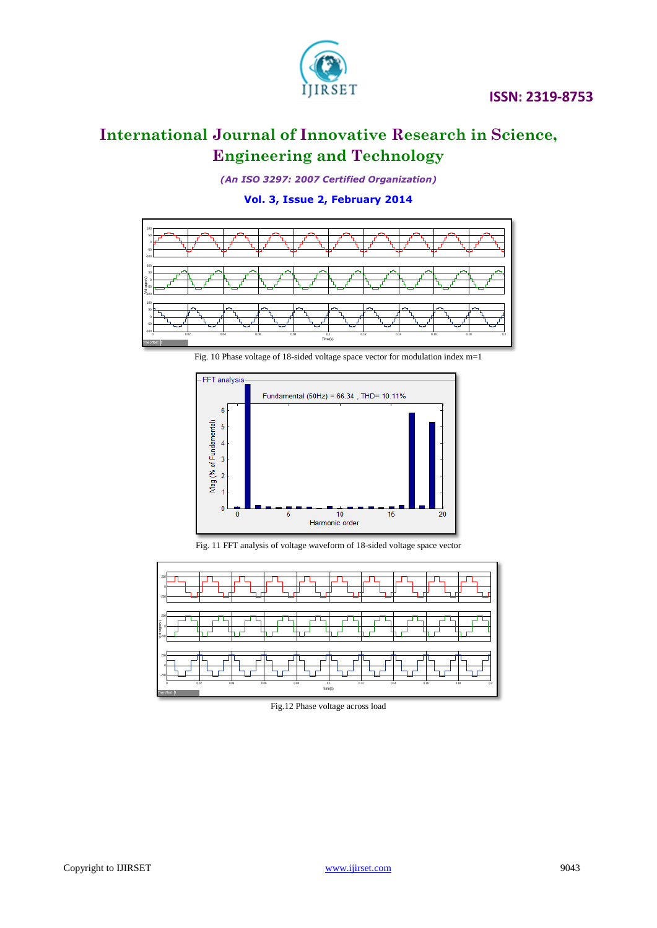*(An ISO 3297: 2007 Certified Organization)*

**Vol. 3, Issue 2, February <sup>2014</sup>** 





Fig. 11 FFT analysis of voltage waveform of 18-sided voltage space vector



Fig.12 Phase voltage across load